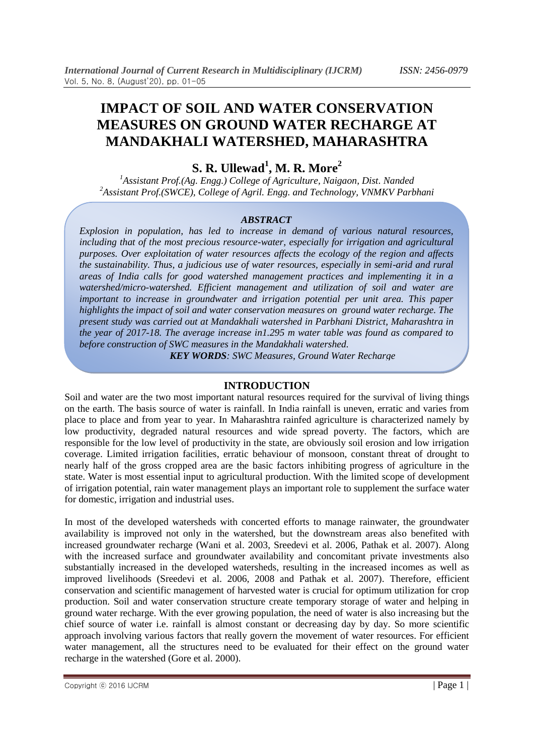# **IMPACT OF SOIL AND WATER CONSERVATION MEASURES ON GROUND WATER RECHARGE AT MANDAKHALI WATERSHED, MAHARASHTRA**

## **S. R. Ullewad<sup>1</sup> , M. R. More<sup>2</sup>**

*<sup>1</sup>Assistant Prof.(Ag. Engg.) College of Agriculture, Naigaon, Dist. Nanded <sup>2</sup>Assistant Prof.(SWCE), College of Agril. Engg. and Technology, VNMKV Parbhani*

#### *ABSTRACT*

*Explosion in population, has led to increase in demand of various natural resources, including that of the most precious resource-water, especially for irrigation and agricultural purposes. Over exploitation of water resources affects the ecology of the region and affects the sustainability. Thus, a judicious use of water resources, especially in semi-arid and rural areas of India calls for good watershed management practices and implementing it in a watershed/micro-watershed. Efficient management and utilization of soil and water are important to increase in groundwater and irrigation potential per unit area. This paper highlights the impact of soil and water conservation measures on ground water recharge. The present study was carried out at Mandakhali watershed in Parbhani District, Maharashtra in the year of 2017-18. The average increase in1.295 m water table was found as compared to before construction of SWC measures in the Mandakhali watershed.* 

*KEY WORDS: SWC Measures, Ground Water Recharge*

## **INTRODUCTION**

Soil and water are the two most important natural resources required for the survival of living things on the earth. The basis source of water is rainfall. In India rainfall is uneven, erratic and varies from place to place and from year to year. In Maharashtra rainfed agriculture is characterized namely by low productivity, degraded natural resources and wide spread poverty. The factors, which are responsible for the low level of productivity in the state, are obviously soil erosion and low irrigation coverage. Limited irrigation facilities, erratic behaviour of monsoon, constant threat of drought to nearly half of the gross cropped area are the basic factors inhibiting progress of agriculture in the state. Water is most essential input to agricultural production. With the limited scope of development of irrigation potential, rain water management plays an important role to supplement the surface water for domestic, irrigation and industrial uses.

In most of the developed watersheds with concerted efforts to manage rainwater, the groundwater availability is improved not only in the watershed, but the downstream areas also benefited with increased groundwater recharge (Wani et al. 2003, Sreedevi et al. 2006, Pathak et al. 2007). Along with the increased surface and groundwater availability and concomitant private investments also substantially increased in the developed watersheds, resulting in the increased incomes as well as improved livelihoods (Sreedevi et al. 2006, 2008 and Pathak et al. 2007). Therefore, efficient conservation and scientific management of harvested water is crucial for optimum utilization for crop production. Soil and water conservation structure create temporary storage of water and helping in ground water recharge. With the ever growing population, the need of water is also increasing but the chief source of water i.e. rainfall is almost constant or decreasing day by day. So more scientific approach involving various factors that really govern the movement of water resources. For efficient water management, all the structures need to be evaluated for their effect on the ground water recharge in the watershed (Gore et al. 2000).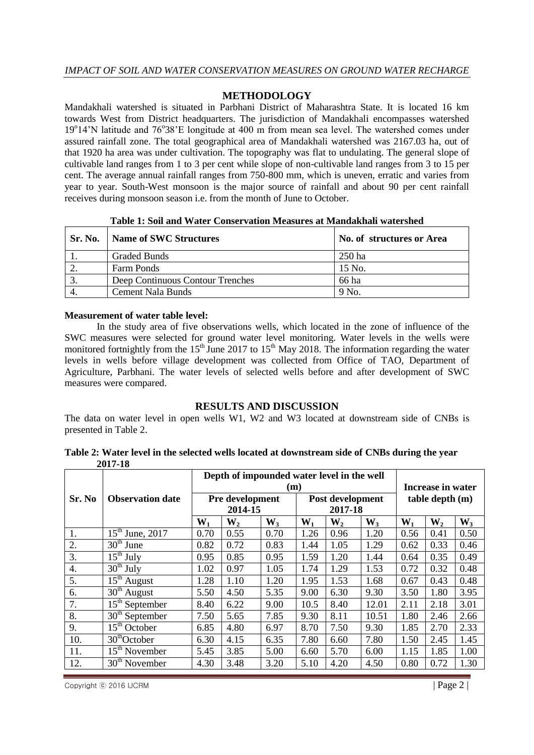## **METHODOLOGY**

Mandakhali watershed is situated in Parbhani District of Maharashtra State. It is located 16 km towards West from District headquarters. The jurisdiction of Mandakhali encompasses watershed 19°14'N latitude and 76°38'E longitude at 400 m from mean sea level. The watershed comes under assured rainfall zone. The total geographical area of Mandakhali watershed was 2167.03 ha, out of that 1920 ha area was under cultivation. The topography was flat to undulating. The general slope of cultivable land ranges from 1 to 3 per cent while slope of non-cultivable land ranges from 3 to 15 per cent. The average annual rainfall ranges from 750-800 mm, which is uneven, erratic and varies from year to year. South-West monsoon is the major source of rainfall and about 90 per cent rainfall receives during monsoon season i.e. from the month of June to October.

| Sr. No. | Name of SWC Structures           | No. of structures or Area |  |  |  |  |
|---------|----------------------------------|---------------------------|--|--|--|--|
|         | <b>Graded Bunds</b>              | $250$ ha                  |  |  |  |  |
|         | <b>Farm Ponds</b>                | $15$ No.                  |  |  |  |  |
|         | Deep Continuous Contour Trenches | 66 ha                     |  |  |  |  |
|         | Cement Nala Bunds                | 9 No.                     |  |  |  |  |

#### **Table 1: Soil and Water Conservation Measures at Mandakhali watershed**

#### **Measurement of water table level:**

In the study area of five observations wells, which located in the zone of influence of the SWC measures were selected for ground water level monitoring. Water levels in the wells were monitored fortnightly from the 15<sup>th</sup> June 2017 to 15<sup>th</sup> May 2018. The information regarding the water levels in wells before village development was collected from Office of TAO, Department of Agriculture, Parbhani. The water levels of selected wells before and after development of SWC measures were compared.

## **RESULTS AND DISCUSSION**

The data on water level in open wells W1, W2 and W3 located at downstream side of CNBs is presented in Table 2.

**Table 2: Water level in the selected wells located at downstream side of CNBs during the year 2017-18**

|        |                                        | Depth of impounded water level in the well |                |       |         |       |       |                     |                |       |  |
|--------|----------------------------------------|--------------------------------------------|----------------|-------|---------|-------|-------|---------------------|----------------|-------|--|
|        |                                        | (m)                                        |                |       |         |       |       | Increase in water   |                |       |  |
| Sr. No | <b>Observation date</b>                | Post development<br>Pre development        |                |       |         |       |       | $table$ depth $(m)$ |                |       |  |
|        |                                        | 2014-15                                    |                |       | 2017-18 |       |       |                     |                |       |  |
|        |                                        | $W_1$                                      | W <sub>2</sub> | $W_3$ | $W_1$   | $W_2$ | $W_3$ | $W_1$               | W <sub>2</sub> | $W_3$ |  |
| 1.     | $\overline{15}^{\text{th}}$ June, 2017 | 0.70                                       | 0.55           | 0.70  | 1.26    | 0.96  | 1.20  | 0.56                | 0.41           | 0.50  |  |
| 2.     | $30th$ June                            | 0.82                                       | 0.72           | 0.83  | 1.44    | 1.05  | 1.29  | 0.62                | 0.33           | 0.46  |  |
| 3.     | $15th$ July                            | 0.95                                       | 0.85           | 0.95  | 1.59    | 1.20  | 1.44  | 0.64                | 0.35           | 0.49  |  |
| 4.     | $30th$ July                            | 1.02                                       | 0.97           | 1.05  | 1.74    | 1.29  | 1.53  | 0.72                | 0.32           | 0.48  |  |
| 5.     | $15th$ August                          | 1.28                                       | 1.10           | 1.20  | 1.95    | 1.53  | 1.68  | 0.67                | 0.43           | 0.48  |  |
| 6.     | $30th$ August                          | 5.50                                       | 4.50           | 5.35  | 9.00    | 6.30  | 9.30  | 3.50                | 1.80           | 3.95  |  |
| 7.     | $15th$ September                       | 8.40                                       | 6.22           | 9.00  | 10.5    | 8.40  | 12.01 | 2.11                | 2.18           | 3.01  |  |
| 8.     | $30th$ September                       | 7.50                                       | 5.65           | 7.85  | 9.30    | 8.11  | 10.51 | 1.80                | 2.46           | 2.66  |  |
| 9.     | $15th$ October                         | 6.85                                       | 4.80           | 6.97  | 8.70    | 7.50  | 9.30  | 1.85                | 2.70           | 2.33  |  |
| 10.    | $\overline{30}^{th}$ October           | 6.30                                       | 4.15           | 6.35  | 7.80    | 6.60  | 7.80  | 1.50                | 2.45           | 1.45  |  |
| 11.    | $15th$ November                        | 5.45                                       | 3.85           | 5.00  | 6.60    | 5.70  | 6.00  | 1.15                | 1.85           | 1.00  |  |
| 12.    | $30th$ November                        | 4.30                                       | 3.48           | 3.20  | 5.10    | 4.20  | 4.50  | 0.80                | 0.72           | 1.30  |  |

 $\text{Copyright} \odot$  2016 IJCRM  $\vert$  Page 2  $\vert$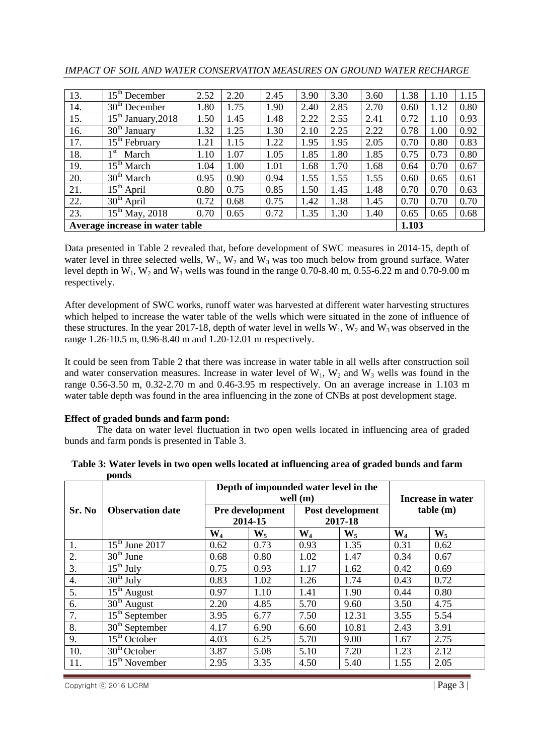| 13.                             | $15^{\text{th}}$<br>December      | 2.52 | 2.20 | 2.45 | 3.90 | 3.30 | 3.60  | 1.38 | 1.10 | 1.15 |
|---------------------------------|-----------------------------------|------|------|------|------|------|-------|------|------|------|
| 14.                             | $30^{\text{th}}$<br>December      | 1.80 | 1.75 | 1.90 | 2.40 | 2.85 | 2.70  | 0.60 | 1.12 | 0.80 |
| 15.                             | $15^{\text{th}}$<br>January, 2018 | 1.50 | 1.45 | 1.48 | 2.22 | 2.55 | 2.41  | 0.72 | 1.10 | 0.93 |
| 16.                             | $30^{\text{th}}$<br>January       | 1.32 | 1.25 | 1.30 | 2.10 | 2.25 | 2.22  | 0.78 | 1.00 | 0.92 |
| 17.                             | $15^{\rm th}$<br>February         | 1.21 | 1.15 | 1.22 | 1.95 | 1.95 | 2.05  | 0.70 | 0.80 | 0.83 |
| 18.                             | 1 <sup>st</sup><br>March          | 1.10 | 1.07 | 1.05 | 1.85 | 1.80 | 1.85  | 0.75 | 0.73 | 0.80 |
| 19.                             | $15^{\text{th}}$<br>March         | 1.04 | 1.00 | 1.01 | 1.68 | 1.70 | 1.68  | 0.64 | 0.70 | 0.67 |
| 20.                             | $30th$ March                      | 0.95 | 0.90 | 0.94 | 1.55 | 1.55 | 1.55  | 0.60 | 0.65 | 0.61 |
| 21.                             | $15^{\text{th}}$<br>April         | 0.80 | 0.75 | 0.85 | 1.50 | 1.45 | 1.48  | 0.70 | 0.70 | 0.63 |
| 22.                             | 30 <sup>th</sup><br>April         | 0.72 | 0.68 | 0.75 | 1.42 | 1.38 | 1.45  | 0.70 | 0.70 | 0.70 |
| 23.                             | $15^{\text{th}}$<br>May, 2018     | 0.70 | 0.65 | 0.72 | 1.35 | 1.30 | 1.40  | 0.65 | 0.65 | 0.68 |
| Average increase in water table |                                   |      |      |      |      |      | 1.103 |      |      |      |

Data presented in Table 2 revealed that, before development of SWC measures in 2014-15, depth of water level in three selected wells,  $W_1$ ,  $W_2$  and  $W_3$  was too much below from ground surface. Water level depth in  $W_1$ ,  $W_2$  and  $W_3$  wells was found in the range 0.70-8.40 m, 0.55-6.22 m and 0.70-9.00 m respectively.

After development of SWC works, runoff water was harvested at different water harvesting structures which helped to increase the water table of the wells which were situated in the zone of influence of these structures. In the year 2017-18, depth of water level in wells  $W_1$ ,  $W_2$  and  $W_3$  was observed in the range 1.26-10.5 m, 0.96-8.40 m and 1.20-12.01 m respectively.

It could be seen from Table 2 that there was increase in water table in all wells after construction soil and water conservation measures. Increase in water level of  $W_1$ ,  $W_2$  and  $W_3$  wells was found in the range 0.56-3.50 m, 0.32-2.70 m and 0.46-3.95 m respectively. On an average increase in 1.103 m water table depth was found in the area influencing in the zone of CNBs at post development stage.

## **Effect of graded bunds and farm pond:**

The data on water level fluctuation in two open wells located in influencing area of graded bunds and farm ponds is presented in Table 3.

|        |                                  |                | Depth of impounded water level in the<br>well $(m)$       | Increase in water       |       |                |       |  |
|--------|----------------------------------|----------------|-----------------------------------------------------------|-------------------------|-------|----------------|-------|--|
| Sr. No | <b>Observation date</b>          |                | Post development<br>Pre development<br>2014-15<br>2017-18 |                         |       | table(m)       |       |  |
|        |                                  | $\mathbf{W}_4$ | $W_5$                                                     | $\mathbf{W}_4$<br>$W_5$ |       | $\mathbf{W}_4$ | $W_5$ |  |
| 1.     | $15th$ June 2017                 | 0.62           | 0.73                                                      | 0.93<br>1.35            |       | 0.31           | 0.62  |  |
| 2.     | $30th$ June                      | 0.68           | 0.80                                                      | 1.02                    | 1.47  | 0.34           | 0.67  |  |
| 3.     | $\overline{15}^{\text{th}}$ July | 0.75           | 0.93                                                      | 1.17                    | 1.62  | 0.42           | 0.69  |  |
| 4.     | $30th$ July                      | 0.83           | 1.02                                                      | 1.26<br>1.74            |       | 0.43           | 0.72  |  |
| 5.     | $15th$ August                    | 0.97           | 1.10                                                      | 1.41<br>1.90            |       | 0.44           | 0.80  |  |
| 6.     | $30th$ August                    | 2.20           | 4.85                                                      | 5.70                    | 9.60  | 3.50           | 4.75  |  |
| 7.     | $15th$ September                 | 3.95           | 6.77                                                      | 7.50                    | 12.31 | 3.55           | 5.54  |  |
| 8.     | $30th$ September                 | 4.17           | 6.90                                                      | 6.60                    | 10.81 | 2.43           | 3.91  |  |
| 9.     | $15th$ October                   | 4.03           | 6.25                                                      | 5.70                    | 9.00  | 1.67           | 2.75  |  |
| 10.    | $30th$ October                   | 3.87           | 5.08                                                      | 5.10<br>7.20            |       | 1.23           | 2.12  |  |
| 11.    | $15th$ November                  | 2.95           | 3.35                                                      | 5.40<br>4.50            |       | 1.55           | 2.05  |  |

**Table 3: Water levels in two open wells located at influencing area of graded bunds and farm ponds**

 $\text{Copyright} \odot$  2016 IJCRM  $\vert$  Page 3  $\vert$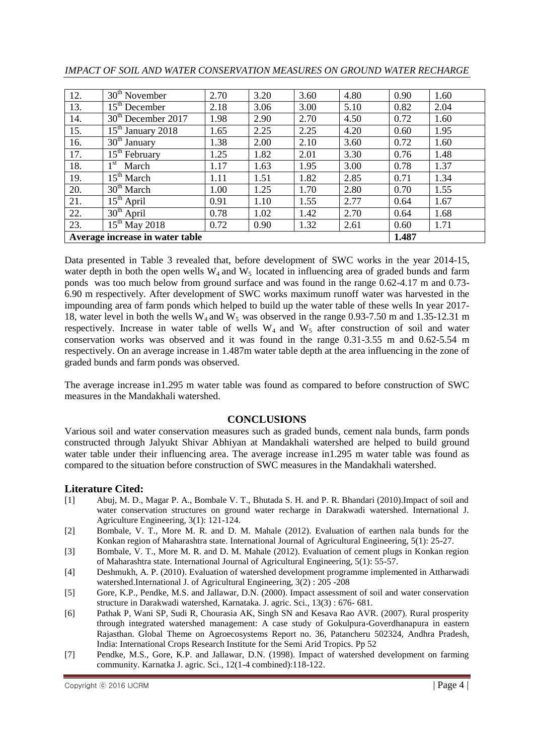| 12.                             | $30th$ November                            | 2.70 | 3.20 | 3.60 | 4.80 | 0.90 | 1.60 |
|---------------------------------|--------------------------------------------|------|------|------|------|------|------|
| 13.                             | $15th$ December                            | 2.18 | 3.06 | 3.00 | 5.10 | 0.82 | 2.04 |
| 14.                             | 30 <sup>th</sup> December 2017             | 1.98 | 2.90 | 2.70 | 4.50 | 0.72 | 1.60 |
| 15.                             | $\overline{15}$ <sup>th</sup> January 2018 | 1.65 | 2.25 | 2.25 | 4.20 | 0.60 | 1.95 |
| 16.                             | $30th$ January                             | 1.38 | 2.00 | 2.10 | 3.60 | 0.72 | 1.60 |
| 17.                             | $15th$ February                            | 1.25 | 1.82 | 2.01 | 3.30 | 0.76 | 1.48 |
| 18.                             | 1 <sup>st</sup><br>March                   | 1.17 | 1.63 | 1.95 | 3.00 | 0.78 | 1.37 |
| 19.                             | 15 <sup>th</sup> March                     | 1.11 | 1.51 | 1.82 | 2.85 | 0.71 | 1.34 |
| 20.                             | $30th$ March                               | 1.00 | 1.25 | 1.70 | 2.80 | 0.70 | 1.55 |
| 21.                             | $15th$ April                               | 0.91 | 1.10 | 1.55 | 2.77 | 0.64 | 1.67 |
| 22.                             | $30th$ April                               | 0.78 | 1.02 | 1.42 | 2.70 | 0.64 | 1.68 |
| 23.                             | $15th$ May 2018                            | 0.72 | 0.90 | 1.32 | 2.61 | 0.60 | 1.71 |
| Average increase in water table |                                            |      |      |      |      |      |      |

Data presented in Table 3 revealed that, before development of SWC works in the year 2014-15, water depth in both the open wells  $W_4$  and  $W_5$  located in influencing area of graded bunds and farm ponds was too much below from ground surface and was found in the range 0.62-4.17 m and 0.73- 6.90 m respectively. After development of SWC works maximum runoff water was harvested in the impounding area of farm ponds which helped to build up the water table of these wells In year 2017- 18, water level in both the wells  $W_4$  and  $W_5$  was observed in the range 0.93-7.50 m and 1.35-12.31 m respectively. Increase in water table of wells  $W_4$  and  $W_5$  after construction of soil and water conservation works was observed and it was found in the range 0.31-3.55 m and 0.62-5.54 m respectively. On an average increase in 1.487m water table depth at the area influencing in the zone of graded bunds and farm ponds was observed.

The average increase in1.295 m water table was found as compared to before construction of SWC measures in the Mandakhali watershed.

## **CONCLUSIONS**

Various soil and water conservation measures such as graded bunds, cement nala bunds, farm ponds constructed through Jalyukt Shivar Abhiyan at Mandakhali watershed are helped to build ground water table under their influencing area. The average increase in1.295 m water table was found as compared to the situation before construction of SWC measures in the Mandakhali watershed.

## **Literature Cited:**

- [1] Abuj, M. D., Magar P. A., Bombale V. T., Bhutada S. H. and P. R. Bhandari (2010).Impact of soil and water conservation structures on ground water recharge in Darakwadi watershed. International J. Agriculture Engineering, 3(1): 121-124.
- [2] Bombale, V. T., More M. R. and D. M. Mahale (2012). Evaluation of earthen nala bunds for the Konkan region of Maharashtra state. International Journal of Agricultural Engineering, 5(1): 25-27.
- [3] Bombale, V. T., More M. R. and D. M. Mahale (2012). Evaluation of cement plugs in Konkan region of Maharashtra state. International Journal of Agricultural Engineering, 5(1): 55-57.
- [4] Deshmukh, A. P. (2010). Evaluation of watershed development programme implemented in Attharwadi watershed.International J. of Agricultural Engineering, 3(2) : 205 -208
- [5] Gore, K.P., Pendke, M.S. and Jallawar, D.N. (2000). Impact assessment of soil and water conservation structure in Darakwadi watershed, Karnataka. J. agric. Sci., 13(3) : 676- 681.
- [6] Pathak P, Wani SP, Sudi R, Chourasia AK, Singh SN and Kesava Rao AVR. (2007). Rural prosperity through integrated watershed management: A case study of Gokulpura-Goverdhanapura in eastern Rajasthan. Global Theme on Agroecosystems Report no. 36, Patancheru 502324, Andhra Pradesh, India: International Crops Research Institute for the Semi Arid Tropics. Pp 52
- [7] Pendke, M.S., Gore, K.P. and Jallawar, D.N. (1998). Impact of watershed development on farming community. Karnatka J. agric. Sci., 12(1-4 combined):118-122.